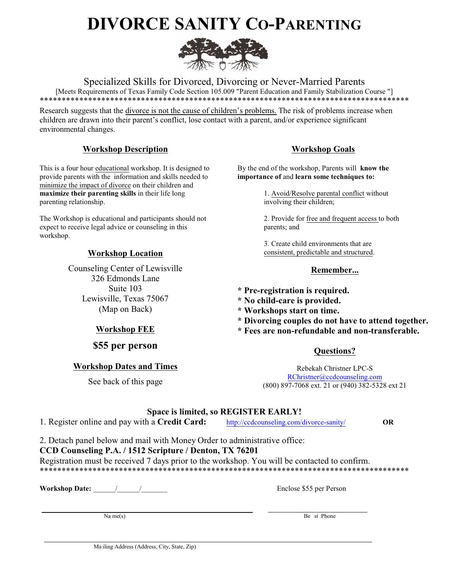# **DIVORCE SANITY CO-PARENTING**



Specialized Skills for Divorced, Divorcing or Never-Married Parents [Meets Requirements of Texas Family Code Section 105.009 "Parent Education and Family Stabilization Course "] \*\*\*\*\*\*\*\*\*\*\*\*\*\*\*\*\*\*\*\*\*\*\*\*\*\*\*\*\*\*\*\*\*\*\*\*\*\*\*\*\*\*\*\*\*\*\*\*\*\*\*\*\*\*\*\*\*\*\*\*\*\*\*\*\*\*\*\*\*\*\*\*\*\*\*\*\*\*\*\*\*\*\*\*

Research suggests that the divorce is not the cause of children's problems. The risk of problems increase when children are drawn into their parent's conflict, lose contact with a parent, and/or experience significant environmental changes.

#### **Workshop Description**

This is a four hour educational workshop. It is designed to provide parents with the information and skills needed to minimize the impact of divorce on their children and **maximize their parenting skills** in their life long parenting relationship.

The Workshop is educational and participants should not expect to receive legal advice or counseling in this workshop.

#### **Workshop Location**

Counseling Center of Lewisville 326 Edmonds Lane Suite 103 Lewisville, Texas 75067 (Map on Back)

#### **Workshop FEE**

#### **\$55 per person**

#### **Workshop Dates and Times**

See back of this page

#### **Workshop Goals**

By the end of the workshop, Parents will **know the importance of** and **learn some techniques to:**

> 1. Avoid/Resolve parental conflict without involving their children;

2. Provide for free and frequent access to both parents; and

3. Create child environments that are consistent, predictable and structured.

#### **Remember...**

- **\* Pre-registration is required.**
- **\* No child-care is provided.**
- **\* Workshops start on time.**
- **\* Divorcing couples do not have to attend together.**
- **\* Fees are non-refundable and non-transferable.**

#### **Questions?**

Rebekah Christner LPC-S [RChristner@ccdcounseling.com](mailto:Sturner@ccdcounseling.com) (800) 897-7068 ext. 21 or (940) 382-5328 ext 21

#### **Space is limited, so REGISTER EARLY!**

1. Register online and pay with a **Credit Card:** <http://ccdcounseling.com/divorce-sanity/> **OR**

2. Detach panel below and mail with Money Order to administrative office: **CCD Counseling P.A. / 1512 Scripture / Denton, TX 76201**

Registration must be received 7 days prior to the workshop. You will be contacted to confirm. \*\*\*\*\*\*\*\*\*\*\*\*\*\*\*\*\*\*\*\*\*\*\*\*\*\*\*\*\*\*\*\*\*\*\*\*\*\*\*\*\*\*\*\*\*\*\*\*\*\*\*\*\*\*\*\*\*\*\*\*\*\*\*\*\*\*\*\*\*\*\*\*\*\*\*\*\*\*\*\*\*\*\*\*

**Workshop Date:** \_\_\_\_\_\_/\_\_\_\_\_\_/\_\_\_\_\_\_\_ Enclose \$55 per Person

 $\overline{\text{Na me(s)}}$  Be st Phone